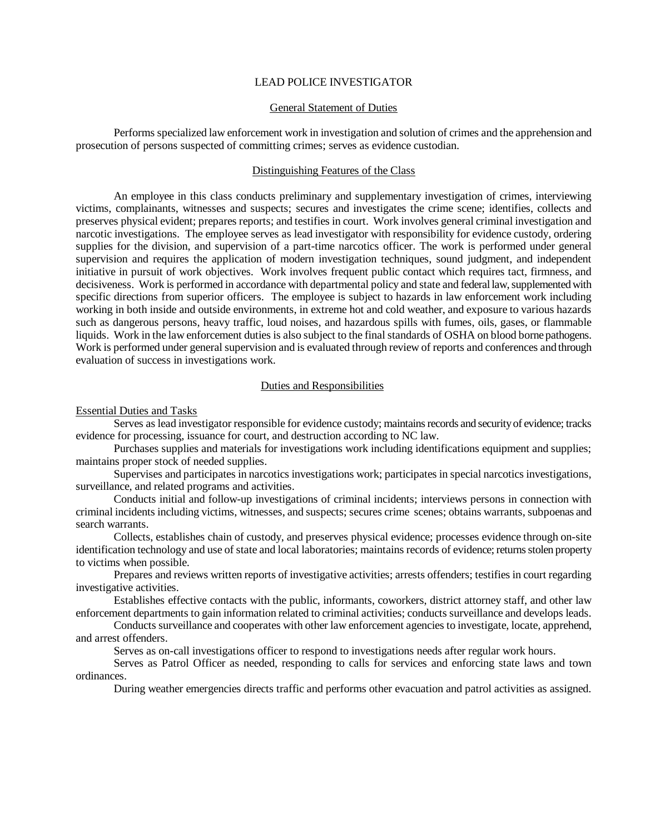# LEAD POLICE INVESTIGATOR

#### General Statement of Duties

Performs specialized law enforcement work in investigation and solution of crimes and the apprehension and prosecution of persons suspected of committing crimes; serves as evidence custodian.

# Distinguishing Features of the Class

An employee in this class conducts preliminary and supplementary investigation of crimes, interviewing victims, complainants, witnesses and suspects; secures and investigates the crime scene; identifies, collects and preserves physical evident; prepares reports; and testifies in court. Work involves general criminal investigation and narcotic investigations. The employee serves as lead investigator with responsibility for evidence custody, ordering supplies for the division, and supervision of a part-time narcotics officer. The work is performed under general supervision and requires the application of modern investigation techniques, sound judgment, and independent initiative in pursuit of work objectives. Work involves frequent public contact which requires tact, firmness, and decisiveness. Work is performed in accordance with departmental policy and state and federal law, supplemented with specific directions from superior officers. The employee is subject to hazards in law enforcement work including working in both inside and outside environments, in extreme hot and cold weather, and exposure to various hazards such as dangerous persons, heavy traffic, loud noises, and hazardous spills with fumes, oils, gases, or flammable liquids. Work in the law enforcement duties is also subject to the final standards of OSHA on blood borne pathogens. Work is performed under general supervision and is evaluated through review of reports and conferences and through evaluation of success in investigations work.

# Duties and Responsibilities

Essential Duties and Tasks

Serves as lead investigator responsible for evidence custody; maintains records and security of evidence; tracks evidence for processing, issuance for court, and destruction according to NC law.

Purchases supplies and materials for investigations work including identifications equipment and supplies; maintains proper stock of needed supplies.

Supervises and participates in narcotics investigations work; participates in special narcotics investigations, surveillance, and related programs and activities.

Conducts initial and follow-up investigations of criminal incidents; interviews persons in connection with criminal incidents including victims, witnesses, and suspects; secures crime scenes; obtains warrants, subpoenas and search warrants.

Collects, establishes chain of custody, and preserves physical evidence; processes evidence through on-site identification technology and use of state and local laboratories; maintains records of evidence; returns stolen property to victims when possible.

Prepares and reviews written reports of investigative activities; arrests offenders; testifies in court regarding investigative activities.

Establishes effective contacts with the public, informants, coworkers, district attorney staff, and other law enforcement departments to gain information related to criminal activities; conducts surveillance and develops leads.

Conducts surveillance and cooperates with other law enforcement agencies to investigate, locate, apprehend, and arrest offenders.

Serves as on-call investigations officer to respond to investigations needs after regular work hours.

Serves as Patrol Officer as needed, responding to calls for services and enforcing state laws and town ordinances.

During weather emergencies directs traffic and performs other evacuation and patrol activities as assigned.